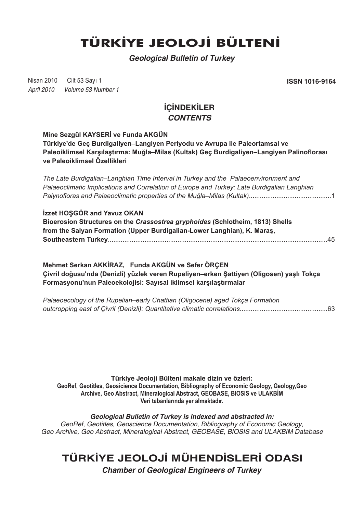# **TÜRKİYE JEOLOJİ BÜLTENİ**

*Geological Bulletin of Turkey*

Nisan 2010 Cilt 53 Savi 1 *April 2010 Volume 53 Number 1*

Cilt 53 Sayý 1 **ISSN 1016-9164**

### **İCİNDEKİLER** *CONTENTS*

#### **Mine Sezgül KAYSERİ ve Funda AKGÜN**

**Türkiye'de Geç Burdigaliyen–Langiyen Periyodu ve Avrupa ile Paleortamsal ve**  Paleoiklimsel Karşılaştırma: Muğla–Milas (Kultak) Geç Burdigaliyen–Langiyen Palinoflorası **ve Paleoiklimsel Özellikleri**

*The Late Burdigalian–Langhian Time Interval in Turkey and the Palaeoenvironment and Palaeoclimatic Implications and Correlation of Europe and Turkey: Late Burdigalian Langhian Palynofloras and Palaeoclimatic properties of the Muðla–Milas (Kultak)*.............................................1

#### **İzzet HOŞGÖR and Yavuz OKAN**

**Bioerosion Structures on the** *Crassostrea gryphoides* **(Schlotheim, 1813) Shells** from the Salyan Formation (Upper Burdigalian-Lower Langhian), K. Maras, **Southeastern Turkey**........................................................................................................................45

**Mehmet Serkan AKKÝRAZ, Funda AKGÜN ve Sefer ÖRÇEN Çivril doðusu'nda (Denizli) yüzlek veren Rupeliyen–erken Þattiyen (Oligosen) yaþlý Tokça**  Formasyonu'nun Paleoekolojisi: Sayısal iklimsel karşılaştırmalar

*Palaeoecology of the Rupelian–early Chattian (Oligocene) aged Tokça Formation outcropping east of Çivril (Denizli): Quantitative climatic correlations*................................................63

**Türkiye Jeoloji Bülteni makale dizin ve özleri: GeoRef, Geotitles, Geosicience Documentation, Bibliography of Economic Geology, Geology,Geo** Archive, Geo Abstract, Mineralogical Abstract, GEOBASE, BIOSIS ve ULAKBİM Veri tabanlarında yer almaktadır.

*Geological Bulletin of Turkey is indexed and abstracted in: GeoRef, Geotitles, Geoscience Documentation, Bibliography of Economic Geology, Geo Archive, Geo Abstract, Mineralogical Abstract, GEOBASE, BIOSIS and ULAKBIM Database*

## **TÜRKİYE JEOLOJİ MÜHENDİSLERİ ODASI**

*Chamber of Geological Engineers of Turkey*